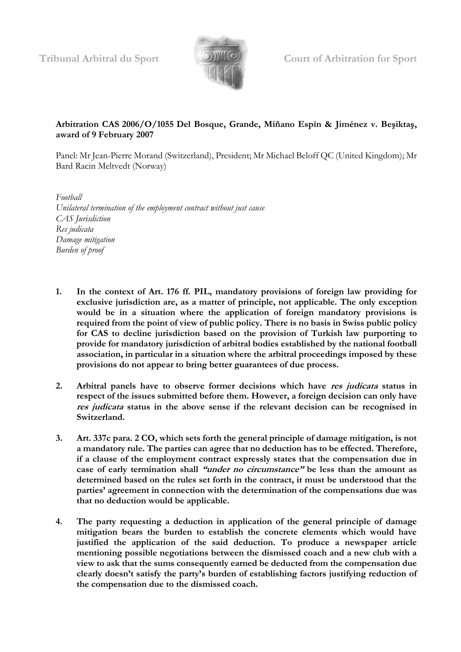

**Tribunal Arbitral du Sport Court of Arbitration for Sport**

## **Arbitration CAS 2006/O/1055 Del Bosque, Grande, Miñano Espín & Jiménez v. Beşiktaş, award of 9 February 2007**

Panel: Mr Jean-Pierre Morand (Switzerland), President; Mr Michael Beloff QC (United Kingdom); Mr Bard Racin Meltvedt (Norway)

*Football Unilateral termination of the employment contract without just cause CAS Jurisdiction Res judicata Damage mitigation Burden of proof*

- **1. In the context of Art. 176 ff. PIL, mandatory provisions of foreign law providing for exclusive jurisdiction are, as a matter of principle, not applicable. The only exception would be in a situation where the application of foreign mandatory provisions is required from the point of view of public policy. There is no basis in Swiss public policy for CAS to decline jurisdiction based on the provision of Turkish law purporting to provide for mandatory jurisdiction of arbitral bodies established by the national football association, in particular in a situation where the arbitral proceedings imposed by these provisions do not appear to bring better guarantees of due process.**
- **2. Arbitral panels have to observe former decisions which have res judicata status in respect of the issues submitted before them. However, a foreign decision can only have res judicata status in the above sense if the relevant decision can be recognised in Switzerland.**
- **3. Art. 337c para. 2 CO, which sets forth the general principle of damage mitigation, is not a mandatory rule. The parties can agree that no deduction has to be effected. Therefore, if a clause of the employment contract expressly states that the compensation due in case of early termination shall "under no circumstance" be less than the amount as determined based on the rules set forth in the contract, it must be understood that the parties' agreement in connection with the determination of the compensations due was that no deduction would be applicable.**
- **4. The party requesting a deduction in application of the general principle of damage mitigation bears the burden to establish the concrete elements which would have justified the application of the said deduction. To produce a newspaper article mentioning possible negotiations between the dismissed coach and a new club with a view to ask that the sums consequently earned be deducted from the compensation due clearly doesn't satisfy the party's burden of establishing factors justifying reduction of the compensation due to the dismissed coach.**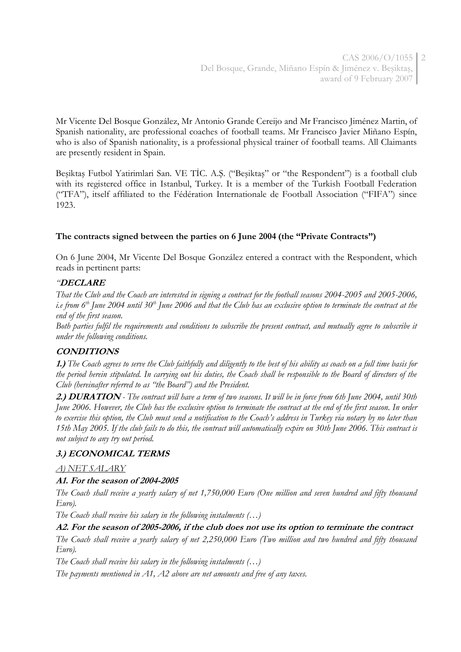Mr Vicente Del Bosque González, Mr Antonio Grande Cereijo and Mr Francisco Jiménez Martin, of Spanish nationality, are professional coaches of football teams. Mr Francisco Javier Miñano Espín, who is also of Spanish nationality, is a professional physical trainer of football teams. All Claimants are presently resident in Spain.

Beşiktaş Futbol Yatirimlari San. VE TİC. A.Ş. ("Beşiktaş" or "the Respondent") is a football club with its registered office in Istanbul, Turkey. It is a member of the Turkish Football Federation ("TFA"), itself affiliated to the Fédération Internationale de Football Association ("FIFA") since 1923.

# **The contracts signed between the parties on 6 June 2004 (the "Private Contracts")**

On 6 June 2004, Mr Vicente Del Bosque González entered a contract with the Respondent, which reads in pertinent parts:

## *"***DECLARE**

*That the Club and the Coach are interested in signing a contract for the football seasons 2004-2005 and 2005-2006, i.e from 6th June 2004 until 30th June 2006 and that the Club has an exclusive option to terminate the contract at the end of the first season.*

*Both parties fulfil the requirements and conditions to subscribe the present contract, and mutually agree to subscribe it under the following conditions.*

## **CONDITIONS**

**1.)** *The Coach agrees to serve the Club faithfully and diligently to the best of his ability as coach on a full time basis for the period herein stipulated. In carrying out his duties, the Coach shall be responsible to the Board of directors of the Club (hereinafter referred to as "the Board") and the President.*

**2.) DURATION** *- The contract will have a term of two seasons. It will be in force from 6th June 2004, until 30th June 2006. However, the Club has the exclusive option to terminate the contract at the end of the first season. In order to exercise this option, the Club must send a notification to the Coach's address in Turkey via notary by no later than 15th May 2005. If the club fails to do this, the contract will automatically expire on 30th June 2006. This contract is not subject to any try out period.*

## **3.) ECONOMICAL TERMS**

### *A) NET SALARY*

### **A1. For the season of 2004-2005**

*The Coach shall receive a yearly salary of net 1,750,000 Euro (One million and seven hundred and fifty thousand Euro).*

*The Coach shall receive his salary in the following instalments (…)*

### **A2. For the season of 2005-2006, if the club does not use its option to terminate the contract**

*The Coach shall receive a yearly salary of net 2,250,000 Euro (Two million and two hundred and fifty thousand Euro).*

*The Coach shall receive his salary in the following instalments (…)*

*The payments mentioned in A1, A2 above are net amounts and free of any taxes.*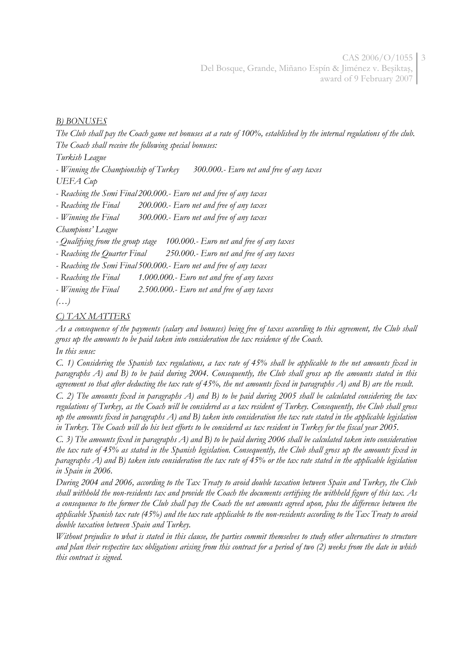## *B) BONUSES*

*The Club shall pay the Coach game net bonuses at a rate of 100%, established by the internal regulations of the club. The Coach shall receive the following special bonuses:* 

*Turkish League*

*- Winning the Championship of Turkey 300.000.- Euro net and free of any taxes*

*UEFA Cup*

*- Reaching the Semi Final 200.000.- Euro net and free of any taxes*

*- Reaching the Final 200.000.- Euro net and free of any taxes*

*- Winning the Final 300.000.- Euro net and free of any taxes*

*Champions' League*

*- Qualifying from the group stage 100.000.- Euro net and free of any taxes*

*- Reaching the Quarter Final 250.000.- Euro net and free of any taxes*

*- Reaching the Semi Final 500.000.- Euro net and free of any taxes*

*- Reaching the Final 1.000.000.- Euro net and free of any taxes*

*- Winning the Final 2.500.000.- Euro net and free of any taxes*

*(…)*

# *C) TAX MATTERS*

*As a consequence of the payments (salary and bonuses) being free of taxes according to this agreement, the Club shall gross up the amounts to be paid taken into consideration the tax residence of the Coach. In this sense:*

*C. 1) Considering the Spanish tax regulations, a tax rate of 45% shall be applicable to the net amounts fixed in paragraphs A) and B) to be paid during 2004. Consequently, the Club shall gross up the amounts stated in this agreement so that after deducting the tax rate of 45%, the net amounts fixed in paragraphs A) and B) are the result.*

*C. 2) The amounts fixed in paragraphs A) and B) to be paid during 2005 shall be calculated considering the tax regulations of Turkey, as the Coach will be considered as a tax resident of Turkey. Consequently, the Club shall gross up the amounts fixed in paragraphs A) and B) taken into consideration the tax rate stated in the applicable legislation in Turkey. The Coach will do his best efforts to be considered as tax resident in Turkey for the fiscal year 2005.*

*C. 3) The amounts fixed in paragraphs A) and B) to be paid during 2006 shall be calculated taken into consideration the tax rate of 45% as stated in the Spanish legislation. Consequently, the Club shall gross up the amounts fixed in paragraphs A) and B) taken into consideration the tax rate of 45% or the tax rate stated in the applicable legislation in Spain in 2006.*

*During 2004 and 2006, according to the Tax Treaty to avoid double taxation between Spain and Turkey, the Club shall withhold the non-residents tax and provide the Coach the documents certifying the withheld figure of this tax. As a consequence to the former the Club shall pay the Coach the net amounts agreed upon, plus the difference between the applicable Spanish tax rate (45%) and the tax rate applicable to the non-residents according to the Tax Treaty to avoid double taxation between Spain and Turkey.*

*Without prejudice to what is stated in this clause, the parties commit themselves to study other alternatives to structure and plan their respective tax obligations arising from this contract for a period of two (2) weeks from the date in which this contract is signed.*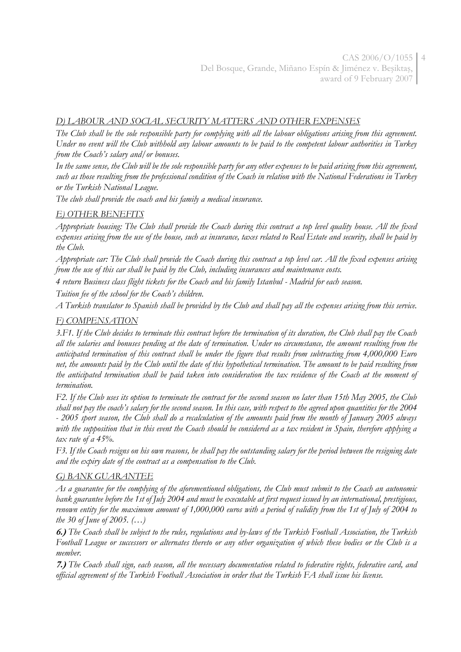## *D) LABOUR AND SOCIAL SECURITY MATTERS AND OTHER EXPENSES*

*The Club shall be the sole responsible party for complying with all the labour obligations arising from this agreement. Under no event will the Club withhold any labour amounts to be paid to the competent labour authorities in Turkey from the Coach's salary and/or bonuses.*

*In the same sense, the Club will be the sole responsible party for any other expenses to be paid arising from this agreement, such as those resulting from the professional condition of the Coach in relation with the National Federations in Turkey or the Turkish National League.*

*The club shall provide the coach and his family a medical insurance.*

# *E) OTHER BENEFITS*

*Appropriate housing: The Club shall provide the Coach during this contract a top level quality house. All the fixed expenses arising from the use of the house, such as insurance, taxes related to Real Estate and security, shall be paid by the Club.*

*Appropriate car: The Club shall provide the Coach during this contract a top level car. All the fixed expenses arising from the use of this car shall be paid by the Club, including insurances and maintenance costs.*

*4 return Business class flight tickets for the Coach and his family Istanbul - Madrid for each season.*

*Tuition fee of the school for the Coach's children.*

*A Turkish translator to Spanish shall be provided by the Club and shall pay all the expenses arising from this service.*

## *F) COMPENSATION*

*3.F1. If the Club decides to terminate this contract before the termination of its duration, the Club shall pay the Coach all the salaries and bonuses pending at the date of termination. Under no circumstance, the amount resulting from the anticipated termination of this contract shall be under the figure that results from subtracting from 4,000,000 Euro net, the amounts paid by the Club until the date of this hypothetical termination. The amount to be paid resulting from the anticipated termination shall be paid taken into consideration the tax residence of the Coach at the moment of termination.*

*F2. If the Club uses its option to terminate the contract for the second season no later than 15th May 2005, the Club shall not pay the coach's salary for the second season. In this case, with respect to the agreed upon quantities for the 2004 - 2005 sport season, the Club shall do a recalculation of the amounts paid from the month of January 2005 always*  with the supposition that in this event the Coach should be considered as a tax resident in Spain, therefore applying a *tax rate of a 45%.*

*F3. If the Coach resigns on his own reasons, he shall pay the outstanding salary for the period between the resigning date and the expiry date of the contract as a compensation to the Club.*

## *G) BANK GUARANTEE*

*As a guarantee for the complying of the aforementioned obligations, the Club must submit to the Coach an autonomic bank guarantee before the 1st of July 2004 and must be executable at first request issued by an international, prestigious, renown entity for the maximum amount of 1,000,000 euros with a period of validity from the 1st of July of 2004 to the 30 of June of 2005. (…)*

**6.)** *The Coach shall be subject to the rules, regulations and by-laws of the Turkish Football Association, the Turkish Football League or successors or alternates thereto or any other organization of which these bodies or the Club is a member.*

**7.)** *The Coach shall sign, each season, all the necessary documentation related to federative rights, federative card, and official agreement of the Turkish Football Association in order that the Turkish FA shall issue his license.*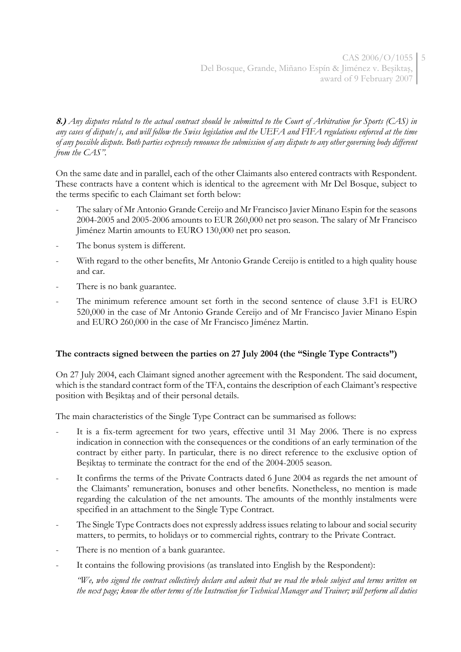**8.)** *Any disputes related to the actual contract should be submitted to the Court of Arbitration for Sports (CAS) in any cases of dispute/s, and will follow the Swiss legislation and the UEFA and FIFA regulations enforced at the time of any possible dispute. Both parties expressly renounce the submission of any dispute to any other governing body different from the CAS".*

On the same date and in parallel, each of the other Claimants also entered contracts with Respondent. These contracts have a content which is identical to the agreement with Mr Del Bosque, subject to the terms specific to each Claimant set forth below:

- The salary of Mr Antonio Grande Cereijo and Mr Francisco Javier Minano Espin for the seasons 2004-2005 and 2005-2006 amounts to EUR 260,000 net pro season. The salary of Mr Francisco Jiménez Martin amounts to EURO 130,000 net pro season.
- The bonus system is different.
- With regard to the other benefits, Mr Antonio Grande Cereijo is entitled to a high quality house and car.
- There is no bank guarantee.
- The minimum reference amount set forth in the second sentence of clause 3.F1 is EURO 520,000 in the case of Mr Antonio Grande Cereijo and of Mr Francisco Javier Minano Espin and EURO 260,000 in the case of Mr Francisco Jiménez Martin*.*

# **The contracts signed between the parties on 27 July 2004 (the "Single Type Contracts")**

On 27 July 2004, each Claimant signed another agreement with the Respondent. The said document, which is the standard contract form of the TFA, contains the description of each Claimant's respective position with Beşiktaş and of their personal details.

The main characteristics of the Single Type Contract can be summarised as follows:

- It is a fix-term agreement for two years, effective until 31 May 2006. There is no express indication in connection with the consequences or the conditions of an early termination of the contract by either party. In particular, there is no direct reference to the exclusive option of Beşiktaş to terminate the contract for the end of the 2004-2005 season.
- It confirms the terms of the Private Contracts dated 6 June 2004 as regards the net amount of the Claimants' remuneration, bonuses and other benefits. Nonetheless, no mention is made regarding the calculation of the net amounts. The amounts of the monthly instalments were specified in an attachment to the Single Type Contract.
- The Single Type Contracts does not expressly address issues relating to labour and social security matters, to permits, to holidays or to commercial rights, contrary to the Private Contract.
- There is no mention of a bank guarantee.
- It contains the following provisions (as translated into English by the Respondent):

*"We, who signed the contract collectively declare and admit that we read the whole subject and terms written on the next page; know the other terms of the Instruction for Technical Manager and Trainer; will perform all duties*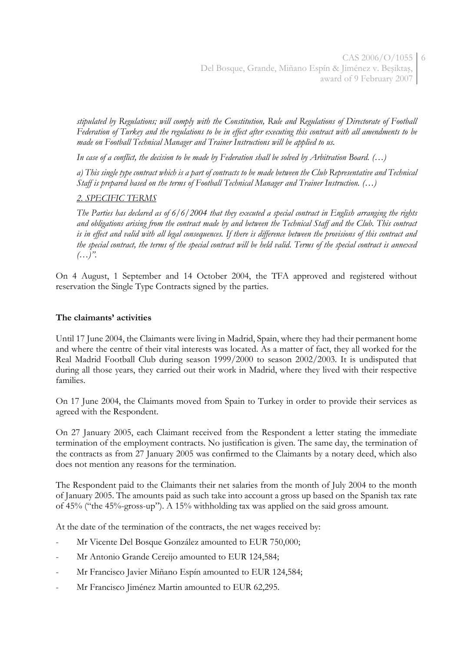*stipulated by Regulations; will comply with the Constitution, Rule and Regulations of Directorate of Football Federation of Turkey and the regulations to be in effect after executing this contract with all amendments to be made on Football Technical Manager and Trainer Instructions will be applied to us.* 

*In case of a conflict, the decision to be made by Federation shall be solved by Arbitration Board. (…)*

*a) This single type contract which is a part of contracts to be made between the Club Representative and Technical Staff is prepared based on the terms of Football Technical Manager and Trainer Instruction. (…)*

### *2. SPECIFIC TERMS*

*The Parties has declared as of 6/6/2004 that they executed a special contract in English arranging the rights and obligations arising from the contract made by and between the Technical Staff and the Club. This contract is in effect and valid with all legal consequences. If there is difference between the provisions of this contract and the special contract, the terms of the special contract will be held valid. Terms of the special contract is annexed (…)".*

On 4 August, 1 September and 14 October 2004, the TFA approved and registered without reservation the Single Type Contracts signed by the parties.

### **The claimants' activities**

Until 17 June 2004, the Claimants were living in Madrid, Spain, where they had their permanent home and where the centre of their vital interests was located. As a matter of fact, they all worked for the Real Madrid Football Club during season 1999/2000 to season 2002/2003. It is undisputed that during all those years, they carried out their work in Madrid, where they lived with their respective families.

On 17 June 2004, the Claimants moved from Spain to Turkey in order to provide their services as agreed with the Respondent.

On 27 January 2005, each Claimant received from the Respondent a letter stating the immediate termination of the employment contracts. No justification is given. The same day, the termination of the contracts as from 27 January 2005 was confirmed to the Claimants by a notary deed, which also does not mention any reasons for the termination.

The Respondent paid to the Claimants their net salaries from the month of July 2004 to the month of January 2005. The amounts paid as such take into account a gross up based on the Spanish tax rate of 45% ("the 45%-gross-up"). A 15% withholding tax was applied on the said gross amount.

At the date of the termination of the contracts, the net wages received by:

- Mr Vicente Del Bosque González amounted to EUR 750,000;
- Mr Antonio Grande Cereijo amounted to EUR 124,584;
- Mr Francisco Javier Miñano Espín amounted to EUR 124,584;
- Mr Francisco Jiménez Martin amounted to EUR 62,295.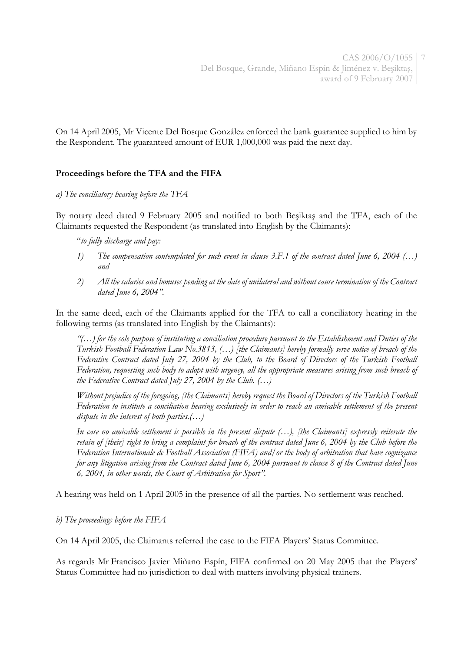On 14 April 2005, Mr Vicente Del Bosque González enforced the bank guarantee supplied to him by the Respondent. The guaranteed amount of EUR 1,000,000 was paid the next day.

### **Proceedings before the TFA and the FIFA**

#### *a) The conciliatory hearing before the TFA*

By notary deed dated 9 February 2005 and notified to both Beşiktaş and the TFA, each of the Claimants requested the Respondent (as translated into English by the Claimants):

"*to fully discharge and pay:*

- *1) The compensation contemplated for such event in clause 3.F.1 of the contract dated June 6, 2004 (…) and*
- *2) All the salaries and bonuses pending at the date of unilateral and without cause termination of the Contract dated June 6, 2004".*

In the same deed, each of the Claimants applied for the TFA to call a conciliatory hearing in the following terms (as translated into English by the Claimants):

*"(…) for the sole purpose of instituting a conciliation procedure pursuant to the Establishment and Duties of the Turkish Football Federation Law No.3813, (…) [the Claimants] hereby formally serve notice of breach of the Federative Contract dated July 27, 2004 by the Club, to the Board of Directors of the Turkish Football Federation, requesting such body to adopt with urgency, all the appropriate measures arising from such breach of the Federative Contract dated July 27, 2004 by the Club. (…)* 

*Without prejudice of the foregoing, [the Claimants] hereby request the Board of Directors of the Turkish Football Federation to institute a conciliation hearing exclusively in order to reach an amicable settlement of the present dispute in the interest of both parties.(…)* 

*In case no amicable settlement is possible in the present dispute (…), [the Claimants] expressly reiterate the retain of [their] right to bring a complaint for breach of the contract dated June 6, 2004 by the Club before the Federation Internationale de Football Association (FIFA) and/or the body of arbitration that have cognizance for any litigation arising from the Contract dated June 6, 2004 pursuant to clause 8 of the Contract dated June 6, 2004, in other words, the Court of Arbitration for Sport".*

A hearing was held on 1 April 2005 in the presence of all the parties. No settlement was reached.

### *b) The proceedings before the FIFA*

On 14 April 2005, the Claimants referred the case to the FIFA Players' Status Committee.

As regards Mr Francisco Javier Miñano Espín, FIFA confirmed on 20 May 2005 that the Players' Status Committee had no jurisdiction to deal with matters involving physical trainers.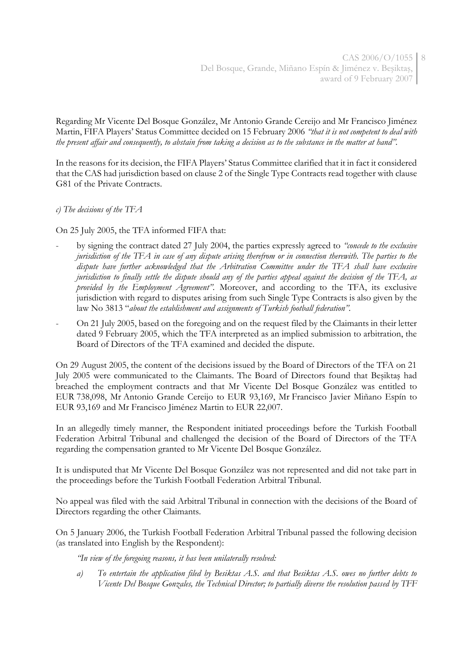Regarding Mr Vicente Del Bosque González, Mr Antonio Grande Cereijo and Mr Francisco Jiménez Martin, FIFA Players' Status Committee decided on 15 February 2006 *"that it is not competent to deal with the present affair and consequently, to abstain from taking a decision as to the substance in the matter at hand".*

In the reasons for its decision, the FIFA Players' Status Committee clarified that it in fact it considered that the CAS had jurisdiction based on clause 2 of the Single Type Contracts read together with clause G81 of the Private Contracts.

*c) The decisions of the TFA*

On 25 July 2005, the TFA informed FIFA that:

- by signing the contract dated 27 July 2004, the parties expressly agreed to *"concede to the exclusive jurisdiction of the TFA in case of any dispute arising therefrom or in connection therewith. The parties to the dispute have further acknowledged that the Arbitration Committee under the TFA shall have exclusive jurisdiction to finally settle the dispute should any of the parties appeal against the decision of the TFA, as provided by the Employment Agreement".* Moreover, and according to the TFA, its exclusive jurisdiction with regard to disputes arising from such Single Type Contracts is also given by the law No 3813 "*about the establishment and assignments of Turkish football federation".*
- On 21 July 2005, based on the foregoing and on the request filed by the Claimants in their letter dated 9 February 2005, which the TFA interpreted as an implied submission to arbitration, the Board of Directors of the TFA examined and decided the dispute.

On 29 August 2005, the content of the decisions issued by the Board of Directors of the TFA on 21 July 2005 were communicated to the Claimants. The Board of Directors found that Beşiktaş had breached the employment contracts and that Mr Vicente Del Bosque González was entitled to EUR 738,098, Mr Antonio Grande Cereijo to EUR 93,169, Mr Francisco Javier Miñano Espín to EUR 93,169 and Mr Francisco Jiménez Martin to EUR 22,007.

In an allegedly timely manner, the Respondent initiated proceedings before the Turkish Football Federation Arbitral Tribunal and challenged the decision of the Board of Directors of the TFA regarding the compensation granted to Mr Vicente Del Bosque González.

It is undisputed that Mr Vicente Del Bosque González was not represented and did not take part in the proceedings before the Turkish Football Federation Arbitral Tribunal.

No appeal was filed with the said Arbitral Tribunal in connection with the decisions of the Board of Directors regarding the other Claimants.

On 5 January 2006, the Turkish Football Federation Arbitral Tribunal passed the following decision (as translated into English by the Respondent):

*"In view of the foregoing reasons, it has been unilaterally resolved:*

*a) To entertain the application filed by Besiktas A.S. and that Besiktas A.S. owes no further debts to Vicente Del Bosque Gonzales, the Technical Director; to partially diverse the resolution passed by TFF*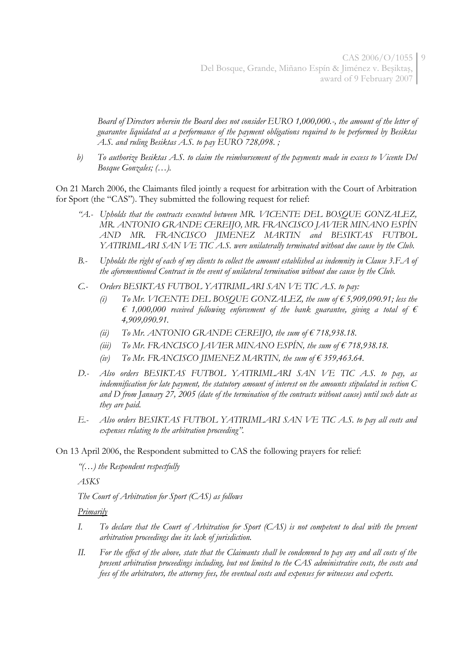*Board of Directors wherein the Board does not consider EURO 1,000,000.-, the amount of the letter of guarantee liquidated as a performance of the payment obligations required to be performed by Besiktas A.S. and ruling Besiktas A.S. to pay EURO 728,098. ;*

*b) To authorize Besiktas A.S. to claim the reimbursement of the payments made in excess to Vicente Del Bosque Gonzales; (…).*

On 21 March 2006, the Claimants filed jointly a request for arbitration with the Court of Arbitration for Sport (the "CAS"). They submitted the following request for relief:

- *"A.- Upholds that the contracts executed between MR. VICENTE DEL BOSQUE GONZALEZ, MR. ANTONIO GRANDE CEREIJO, MR. FRANCISCO JAVIER MINANO ESPÍN AND MR. FRANCISCO JIMENEZ MARTIN and BESIKTAS FUTBOL YATIRIMLARI SAN VE TIC A.S. were unilaterally terminated without due cause by the Club.*
- *B.- Upholds the right of each of my clients to collect the amount established as indemnity in Clause 3.F.A of the aforementioned Contract in the event of unilateral termination without due cause by the Club.*
- *C.- Orders BESIKTAS FUTBOL YATIRIMLARI SAN VE TIC A.S. to pay:* 
	- *(i) To Mr. VICENTE DEL BOSQUE GONZALEZ, the sum of € 5,909,090.91; less the*   $\epsilon$  1,000,000 received following enforcement of the bank guarantee, giving a total of  $\epsilon$ *4,909,090.91.*
	- *(ii) To Mr. ANTONIO GRANDE CEREIJO, the sum of € 718,938.18.*
	- (*iii*) *To Mr.* FRANCISCO JAVIER MINANO ESPÍN, the sum of  $\epsilon$  718,938.18.
	- *(iv) To Mr. FRANCISCO JIMENEZ MARTIN, the sum of € 359,463.64.*
- *D.- Also orders BESIKTAS FUTBOL YATIRIMLARI SAN VE TIC A.S. to pay, as indemnification for late payment, the statutory amount of interest on the amounts stipulated in section C and D from January 27, 2005 (date of the termination of the contracts without cause) until such date as they are paid.*
- *E.- Also orders BESIKTAS FUTBOL YATIRIMLARI SAN VE TIC A.S. to pay all costs and expenses relating to the arbitration proceeding".*

On 13 April 2006, the Respondent submitted to CAS the following prayers for relief:

*"(…) the Respondent respectfully* 

*ASKS*

*The Court of Arbitration for Sport (CAS) as follows* 

*Primarily*

- *I. To declare that the Court of Arbitration for Sport (CAS) is not competent to deal with the present arbitration proceedings due its lack of jurisdiction.*
- *II. For the effect of the above, state that the Claimants shall be condemned to pay any and all costs of the present arbitration proceedings including, but not limited to the CAS administrative costs, the costs and fees of the arbitrators, the attorney fees, the eventual costs and expenses for witnesses and experts.*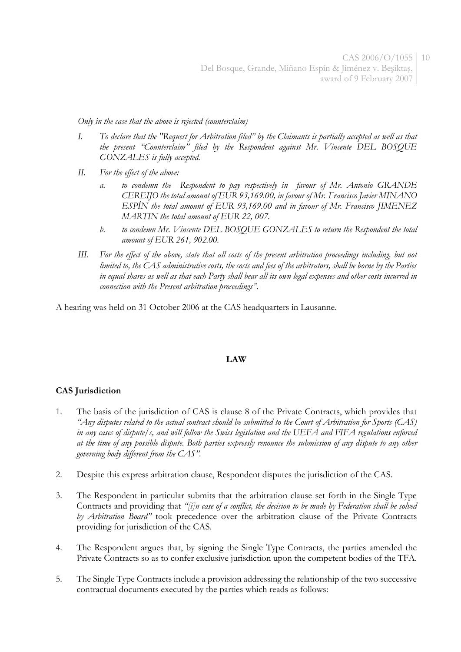*Only in the case that the above is rejected (counterclaim)*

- *I. To declare that the ''Request for Arbitration filed" by the Claimants is partially accepted as well as that the present "Counterclaim" filed by the Respondent against Mr. Vincente DEL BOSQUE GONZALES is fully accepted.*
- *II. For the effect of the above:*
	- *a. to condemn the Respondent to pay respectively in favour of Mr. Antonio GRANDE CEREIJO the total amount of EUR 93,169.00, in favour of Mr. Francisco Javier MINANO ESPÍN the total amount of EUR 93,169.00 and in favour of Mr. Francisco JIMENEZ MARTIN the total amount of EUR 22, 007.*
	- *b. to condemn Mr. Vincente DEL BOSQUE GONZALES to return the Respondent the total amount of EUR 261, 902.00.*
- *III. For the effect of the above, state that all costs of the present arbitration proceedings including, but not limited to, the CAS administrative costs, the costs and fees of the arbitrators, shall be borne by the Parties in equal shares as well as that each Party shall bear all its own legal expenses and other costs incurred in connection with the Present arbitration proceedings".*

A hearing was held on 31 October 2006 at the CAS headquarters in Lausanne.

### **LAW**

## **CAS Jurisdiction**

- 1. The basis of the jurisdiction of CAS is clause 8 of the Private Contracts, which provides that *"Any disputes related to the actual contract should be submitted to the Court of Arbitration for Sports (CAS) in any cases of dispute/s, and will follow the Swiss legislation and the UEFA and FIFA regulations enforced at the time of any possible dispute. Both parties expressly renounce the submission of any dispute to any other governing body different from the CAS".*
- 2. Despite this express arbitration clause, Respondent disputes the jurisdiction of the CAS.
- 3. The Respondent in particular submits that the arbitration clause set forth in the Single Type Contracts and providing that *"[i]n case of a conflict, the decision to be made by Federation shall be solved by Arbitration Board"* took precedence over the arbitration clause of the Private Contracts providing for jurisdiction of the CAS.
- 4. The Respondent argues that, by signing the Single Type Contracts, the parties amended the Private Contracts so as to confer exclusive jurisdiction upon the competent bodies of the TFA.
- 5. The Single Type Contracts include a provision addressing the relationship of the two successive contractual documents executed by the parties which reads as follows: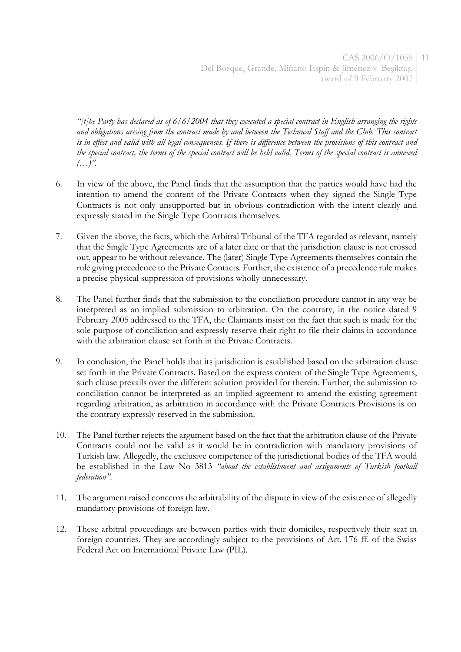*"[t]he Party has declared as of 6/6/2004 that they executed a special contract in English arranging the rights and obligations arising from the contract made by and between the Technical Staff and the Club. This contract is in effect and valid with all legal consequences. If there is difference between the provisions of this contract and the special contract, the terms of the special contract will be held valid. Terms of the special contract is annexed (…)".*

- 6. In view of the above, the Panel finds that the assumption that the parties would have had the intention to amend the content of the Private Contracts when they signed the Single Type Contracts is not only unsupported but in obvious contradiction with the intent clearly and expressly stated in the Single Type Contracts themselves.
- 7. Given the above, the facts, which the Arbitral Tribunal of the TFA regarded as relevant, namely that the Single Type Agreements are of a later date or that the jurisdiction clause is not crossed out, appear to be without relevance. The (later) Single Type Agreements themselves contain the rule giving precedence to the Private Contacts. Further, the existence of a precedence rule makes a precise physical suppression of provisions wholly unnecessary.
- 8. The Panel further finds that the submission to the conciliation procedure cannot in any way be interpreted as an implied submission to arbitration. On the contrary, in the notice dated 9 February 2005 addressed to the TFA, the Claimants insist on the fact that such is made for the sole purpose of conciliation and expressly reserve their right to file their claims in accordance with the arbitration clause set forth in the Private Contracts.
- 9. In conclusion, the Panel holds that its jurisdiction is established based on the arbitration clause set forth in the Private Contracts. Based on the express content of the Single Type Agreements, such clause prevails over the different solution provided for therein. Further, the submission to conciliation cannot be interpreted as an implied agreement to amend the existing agreement regarding arbitration, as arbitration in accordance with the Private Contracts Provisions is on the contrary expressly reserved in the submission.
- 10. The Panel further rejects the argument based on the fact that the arbitration clause of the Private Contracts could not be valid as it would be in contradiction with mandatory provisions of Turkish law. Allegedly, the exclusive competence of the jurisdictional bodies of the TFA would be established in the Law No 3813 *"about the establishment and assignments of Turkish football federation"*.
- 11. The argument raised concerns the arbitrability of the dispute in view of the existence of allegedly mandatory provisions of foreign law.
- 12. These arbitral proceedings are between parties with their domiciles, respectively their seat in foreign countries. They are accordingly subject to the provisions of Art. 176 ff. of the Swiss Federal Act on International Private Law (PIL).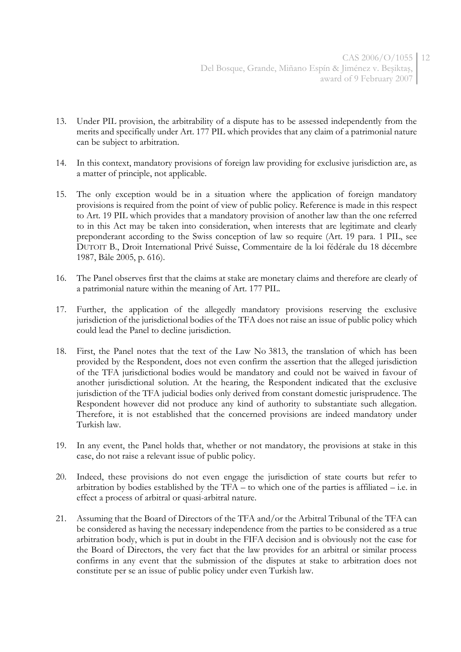- 13. Under PIL provision, the arbitrability of a dispute has to be assessed independently from the merits and specifically under Art. 177 PIL which provides that any claim of a patrimonial nature can be subject to arbitration.
- 14. In this context, mandatory provisions of foreign law providing for exclusive jurisdiction are, as a matter of principle, not applicable.
- 15. The only exception would be in a situation where the application of foreign mandatory provisions is required from the point of view of public policy. Reference is made in this respect to Art. 19 PIL which provides that a mandatory provision of another law than the one referred to in this Act may be taken into consideration, when interests that are legitimate and clearly preponderant according to the Swiss conception of law so require (Art. 19 para. 1 PIL, see DUTOIT B., Droit International Privé Suisse, Commentaire de la loi fédérale du 18 décembre 1987, Bâle 2005, p. 616).
- 16. The Panel observes first that the claims at stake are monetary claims and therefore are clearly of a patrimonial nature within the meaning of Art. 177 PIL.
- 17. Further, the application of the allegedly mandatory provisions reserving the exclusive jurisdiction of the jurisdictional bodies of the TFA does not raise an issue of public policy which could lead the Panel to decline jurisdiction.
- 18. First, the Panel notes that the text of the Law No 3813, the translation of which has been provided by the Respondent, does not even confirm the assertion that the alleged jurisdiction of the TFA jurisdictional bodies would be mandatory and could not be waived in favour of another jurisdictional solution. At the hearing, the Respondent indicated that the exclusive jurisdiction of the TFA judicial bodies only derived from constant domestic jurisprudence. The Respondent however did not produce any kind of authority to substantiate such allegation. Therefore, it is not established that the concerned provisions are indeed mandatory under Turkish law.
- 19. In any event, the Panel holds that, whether or not mandatory, the provisions at stake in this case, do not raise a relevant issue of public policy.
- 20. Indeed, these provisions do not even engage the jurisdiction of state courts but refer to arbitration by bodies established by the TFA – to which one of the parties is affiliated – i.e. in effect a process of arbitral or quasi-arbitral nature.
- 21. Assuming that the Board of Directors of the TFA and/or the Arbitral Tribunal of the TFA can be considered as having the necessary independence from the parties to be considered as a true arbitration body, which is put in doubt in the FIFA decision and is obviously not the case for the Board of Directors, the very fact that the law provides for an arbitral or similar process confirms in any event that the submission of the disputes at stake to arbitration does not constitute per se an issue of public policy under even Turkish law.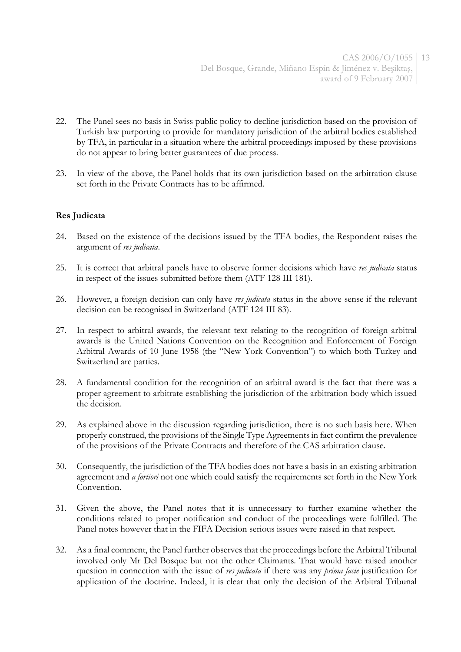- 22. The Panel sees no basis in Swiss public policy to decline jurisdiction based on the provision of Turkish law purporting to provide for mandatory jurisdiction of the arbitral bodies established by TFA, in particular in a situation where the arbitral proceedings imposed by these provisions do not appear to bring better guarantees of due process.
- 23. In view of the above, the Panel holds that its own jurisdiction based on the arbitration clause set forth in the Private Contracts has to be affirmed.

### **Res Judicata**

- 24. Based on the existence of the decisions issued by the TFA bodies, the Respondent raises the argument of *res judicata*.
- 25. It is correct that arbitral panels have to observe former decisions which have *res judicata* status in respect of the issues submitted before them (ATF 128 III 181).
- 26. However, a foreign decision can only have *res judicata* status in the above sense if the relevant decision can be recognised in Switzerland (ATF 124 III 83).
- 27. In respect to arbitral awards, the relevant text relating to the recognition of foreign arbitral awards is the United Nations Convention on the Recognition and Enforcement of Foreign Arbitral Awards of 10 June 1958 (the "New York Convention") to which both Turkey and Switzerland are parties.
- 28. A fundamental condition for the recognition of an arbitral award is the fact that there was a proper agreement to arbitrate establishing the jurisdiction of the arbitration body which issued the decision.
- 29. As explained above in the discussion regarding jurisdiction, there is no such basis here. When properly construed, the provisions of the Single Type Agreements in fact confirm the prevalence of the provisions of the Private Contracts and therefore of the CAS arbitration clause.
- 30. Consequently, the jurisdiction of the TFA bodies does not have a basis in an existing arbitration agreement and *a fortiori* not one which could satisfy the requirements set forth in the New York Convention.
- 31. Given the above, the Panel notes that it is unnecessary to further examine whether the conditions related to proper notification and conduct of the proceedings were fulfilled. The Panel notes however that in the FIFA Decision serious issues were raised in that respect.
- 32. As a final comment, the Panel further observes that the proceedings before the Arbitral Tribunal involved only Mr Del Bosque but not the other Claimants. That would have raised another question in connection with the issue of *res judicata* if there was any *prima facie* justification for application of the doctrine. Indeed, it is clear that only the decision of the Arbitral Tribunal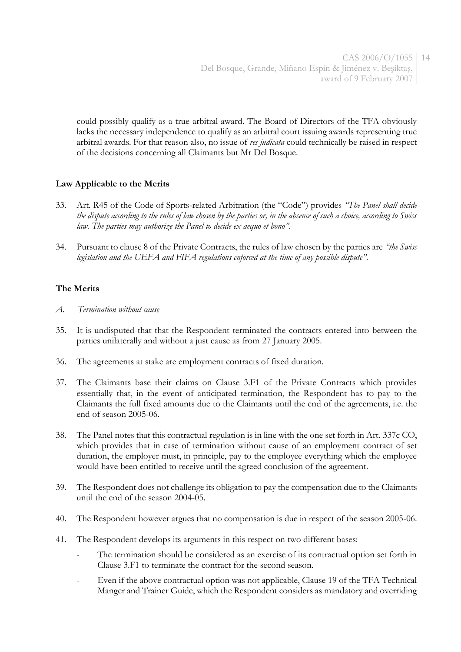could possibly qualify as a true arbitral award. The Board of Directors of the TFA obviously lacks the necessary independence to qualify as an arbitral court issuing awards representing true arbitral awards. For that reason also, no issue of *res judicata* could technically be raised in respect of the decisions concerning all Claimants but Mr Del Bosque.

## **Law Applicable to the Merits**

- 33. Art. R45 of the Code of Sports-related Arbitration (the "Code") provides *"The Panel shall decide the dispute according to the rules of law chosen by the parties or, in the absence of such a choice, according to Swiss law. The parties may authorize the Panel to decide ex aequo et bono"*.
- 34. Pursuant to clause 8 of the Private Contracts, the rules of law chosen by the parties are *"the Swiss legislation and the UEFA and FIFA regulations enforced at the time of any possible dispute".*

### **The Merits**

- *A. Termination without cause*
- 35. It is undisputed that that the Respondent terminated the contracts entered into between the parties unilaterally and without a just cause as from 27 January 2005.
- 36. The agreements at stake are employment contracts of fixed duration.
- 37. The Claimants base their claims on Clause 3.F1 of the Private Contracts which provides essentially that, in the event of anticipated termination, the Respondent has to pay to the Claimants the full fixed amounts due to the Claimants until the end of the agreements, i.e. the end of season 2005-06.
- 38. The Panel notes that this contractual regulation is in line with the one set forth in Art. 337c CO, which provides that in case of termination without cause of an employment contract of set duration, the employer must, in principle, pay to the employee everything which the employee would have been entitled to receive until the agreed conclusion of the agreement.
- 39. The Respondent does not challenge its obligation to pay the compensation due to the Claimants until the end of the season 2004-05.
- 40. The Respondent however argues that no compensation is due in respect of the season 2005-06.
- 41. The Respondent develops its arguments in this respect on two different bases:
	- The termination should be considered as an exercise of its contractual option set forth in Clause 3.F1 to terminate the contract for the second season.
	- Even if the above contractual option was not applicable, Clause 19 of the TFA Technical Manger and Trainer Guide, which the Respondent considers as mandatory and overriding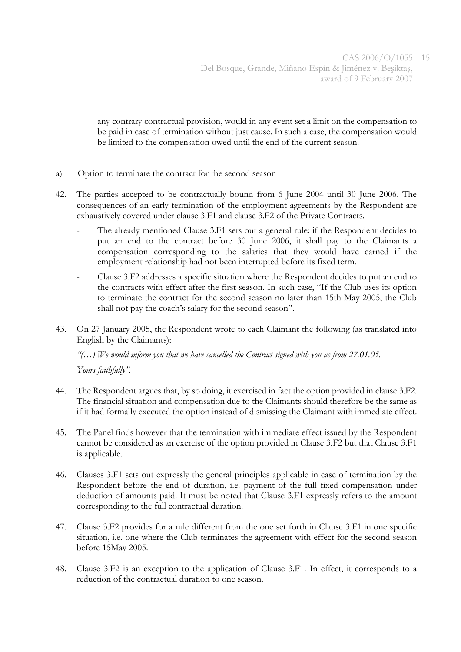any contrary contractual provision, would in any event set a limit on the compensation to be paid in case of termination without just cause. In such a case, the compensation would be limited to the compensation owed until the end of the current season.

- a) Option to terminate the contract for the second season
- 42. The parties accepted to be contractually bound from 6 June 2004 until 30 June 2006. The consequences of an early termination of the employment agreements by the Respondent are exhaustively covered under clause 3.F1 and clause 3.F2 of the Private Contracts.
	- The already mentioned Clause 3.F1 sets out a general rule: if the Respondent decides to put an end to the contract before 30 June 2006, it shall pay to the Claimants a compensation corresponding to the salaries that they would have earned if the employment relationship had not been interrupted before its fixed term.
	- Clause 3.F2 addresses a specific situation where the Respondent decides to put an end to the contracts with effect after the first season. In such case, "If the Club uses its option to terminate the contract for the second season no later than 15th May 2005, the Club shall not pay the coach's salary for the second season".
- 43. On 27 January 2005, the Respondent wrote to each Claimant the following (as translated into English by the Claimants):

*"(…) We would inform you that we have cancelled the Contract signed with you as from 27.01.05. Yours faithfully".*

- 44. The Respondent argues that, by so doing, it exercised in fact the option provided in clause 3.F2. The financial situation and compensation due to the Claimants should therefore be the same as if it had formally executed the option instead of dismissing the Claimant with immediate effect.
- 45. The Panel finds however that the termination with immediate effect issued by the Respondent cannot be considered as an exercise of the option provided in Clause 3.F2 but that Clause 3.F1 is applicable.
- 46. Clauses 3.F1 sets out expressly the general principles applicable in case of termination by the Respondent before the end of duration, i.e. payment of the full fixed compensation under deduction of amounts paid. It must be noted that Clause 3.F1 expressly refers to the amount corresponding to the full contractual duration.
- 47. Clause 3.F2 provides for a rule different from the one set forth in Clause 3.F1 in one specific situation, i.e. one where the Club terminates the agreement with effect for the second season before 15May 2005.
- 48. Clause 3.F2 is an exception to the application of Clause 3.F1. In effect, it corresponds to a reduction of the contractual duration to one season.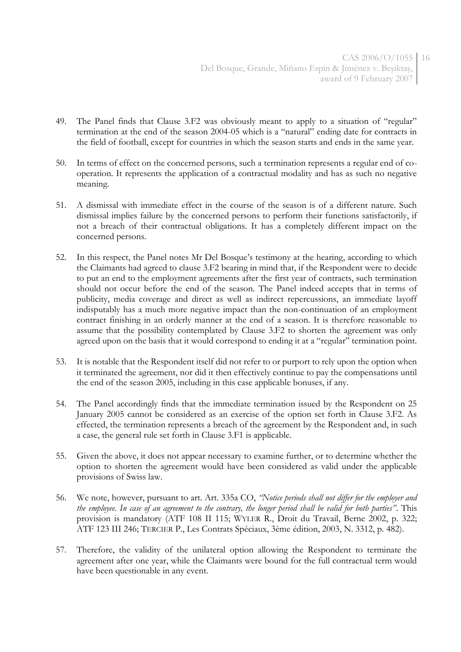- 49. The Panel finds that Clause 3.F2 was obviously meant to apply to a situation of "regular" termination at the end of the season 2004-05 which is a "natural" ending date for contracts in the field of football, except for countries in which the season starts and ends in the same year.
- 50. In terms of effect on the concerned persons, such a termination represents a regular end of cooperation. It represents the application of a contractual modality and has as such no negative meaning.
- 51. A dismissal with immediate effect in the course of the season is of a different nature. Such dismissal implies failure by the concerned persons to perform their functions satisfactorily, if not a breach of their contractual obligations. It has a completely different impact on the concerned persons.
- 52. In this respect, the Panel notes Mr Del Bosque's testimony at the hearing, according to which the Claimants had agreed to clause 3.F2 bearing in mind that, if the Respondent were to decide to put an end to the employment agreements after the first year of contracts, such termination should not occur before the end of the season. The Panel indeed accepts that in terms of publicity, media coverage and direct as well as indirect repercussions, an immediate layoff indisputably has a much more negative impact than the non-continuation of an employment contract finishing in an orderly manner at the end of a season. It is therefore reasonable to assume that the possibility contemplated by Clause 3.F2 to shorten the agreement was only agreed upon on the basis that it would correspond to ending it at a "regular" termination point.
- 53. It is notable that the Respondent itself did not refer to or purport to rely upon the option when it terminated the agreement, nor did it then effectively continue to pay the compensations until the end of the season 2005, including in this case applicable bonuses, if any.
- 54. The Panel accordingly finds that the immediate termination issued by the Respondent on 25 January 2005 cannot be considered as an exercise of the option set forth in Clause 3.F2. As effected, the termination represents a breach of the agreement by the Respondent and, in such a case, the general rule set forth in Clause 3.F1 is applicable.
- 55. Given the above, it does not appear necessary to examine further, or to determine whether the option to shorten the agreement would have been considered as valid under the applicable provisions of Swiss law.
- 56. We note, however, pursuant to art. Art. 335a CO, *"Notice periods shall not differ for the employer and the employee. In case of an agreement to the contrary, the longer period shall be valid for both parties"*. This provision is mandatory (ATF 108 II 115; WYLER R., Droit du Travail, Berne 2002, p. 322; ATF 123 III 246; TERCIER P., Les Contrats Spéciaux, 3ème édition, 2003, N. 3312, p. 482).
- 57. Therefore, the validity of the unilateral option allowing the Respondent to terminate the agreement after one year, while the Claimants were bound for the full contractual term would have been questionable in any event.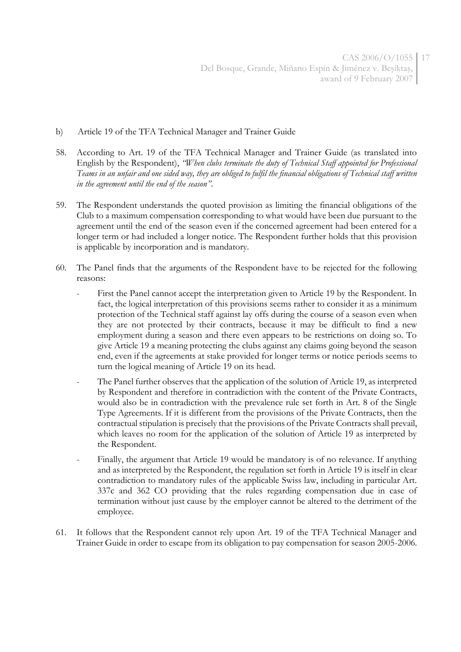- b) Article 19 of the TFA Technical Manager and Trainer Guide
- 58. According to Art. 19 of the TFA Technical Manager and Trainer Guide (as translated into English by the Respondent), *"When clubs terminate the duty of Technical Staff appointed for Professional Teams in an unfair and one sided way, they are obliged to fulfil the financial obligations of Technical staff written in the agreement until the end of the season"*.
- 59. The Respondent understands the quoted provision as limiting the financial obligations of the Club to a maximum compensation corresponding to what would have been due pursuant to the agreement until the end of the season even if the concerned agreement had been entered for a longer term or had included a longer notice. The Respondent further holds that this provision is applicable by incorporation and is mandatory.
- 60. The Panel finds that the arguments of the Respondent have to be rejected for the following reasons:
	- First the Panel cannot accept the interpretation given to Article 19 by the Respondent. In fact, the logical interpretation of this provisions seems rather to consider it as a minimum protection of the Technical staff against lay offs during the course of a season even when they are not protected by their contracts, because it may be difficult to find a new employment during a season and there even appears to be restrictions on doing so. To give Article 19 a meaning protecting the clubs against any claims going beyond the season end, even if the agreements at stake provided for longer terms or notice periods seems to turn the logical meaning of Article 19 on its head.
	- The Panel further observes that the application of the solution of Article 19, as interpreted by Respondent and therefore in contradiction with the content of the Private Contracts, would also be in contradiction with the prevalence rule set forth in Art. 8 of the Single Type Agreements. If it is different from the provisions of the Private Contracts, then the contractual stipulation is precisely that the provisions of the Private Contracts shall prevail, which leaves no room for the application of the solution of Article 19 as interpreted by the Respondent.
	- Finally, the argument that Article 19 would be mandatory is of no relevance. If anything and as interpreted by the Respondent, the regulation set forth in Article 19 is itself in clear contradiction to mandatory rules of the applicable Swiss law, including in particular Art. 337c and 362 CO providing that the rules regarding compensation due in case of termination without just cause by the employer cannot be altered to the detriment of the employee.
- 61. It follows that the Respondent cannot rely upon Art. 19 of the TFA Technical Manager and Trainer Guide in order to escape from its obligation to pay compensation for season 2005-2006.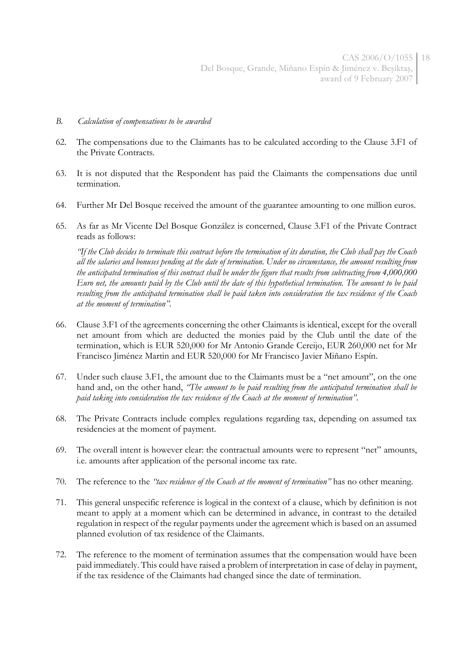- *B. Calculation of compensations to be awarded*
- 62. The compensations due to the Claimants has to be calculated according to the Clause 3.F1 of the Private Contracts.
- 63. It is not disputed that the Respondent has paid the Claimants the compensations due until termination.
- 64. Further Mr Del Bosque received the amount of the guarantee amounting to one million euros.
- 65. As far as Mr Vicente Del Bosque González is concerned, Clause 3.F1 of the Private Contract reads as follows:

*"If the Club decides to terminate this contract before the termination of its duration, the Club shall pay the Coach all the salaries and bonuses pending at the date of termination. Under no circumstance, the amount resulting from the anticipated termination of this contract shall be under the figure that results from subtracting from 4,000,000 Euro net, the amounts paid by the Club until the date of this hypothetical termination. The amount to be paid resulting from the anticipated termination shall be paid taken into consideration the tax residence of the Coach at the moment of termination".*

- 66. Clause 3.F1 of the agreements concerning the other Claimants is identical, except for the overall net amount from which are deducted the monies paid by the Club until the date of the termination, which is EUR 520,000 for Mr Antonio Grande Cereijo, EUR 260,000 net for Mr Francisco Jiménez Martin and EUR 520,000 for Mr Francisco Javier Miñano Espín.
- 67. Under such clause 3.F1, the amount due to the Claimants must be a "net amount", on the one hand and, on the other hand, *"The amount to be paid resulting from the anticipated termination shall be paid taking into consideration the tax residence of the Coach at the moment of termination"*.
- 68. The Private Contracts include complex regulations regarding tax, depending on assumed tax residencies at the moment of payment.
- 69. The overall intent is however clear: the contractual amounts were to represent "net" amounts, i.e. amounts after application of the personal income tax rate.
- 70. The reference to the *"tax residence of the Coach at the moment of termination"* has no other meaning.
- 71. This general unspecific reference is logical in the context of a clause, which by definition is not meant to apply at a moment which can be determined in advance, in contrast to the detailed regulation in respect of the regular payments under the agreement which is based on an assumed planned evolution of tax residence of the Claimants.
- 72. The reference to the moment of termination assumes that the compensation would have been paid immediately. This could have raised a problem of interpretation in case of delay in payment, if the tax residence of the Claimants had changed since the date of termination.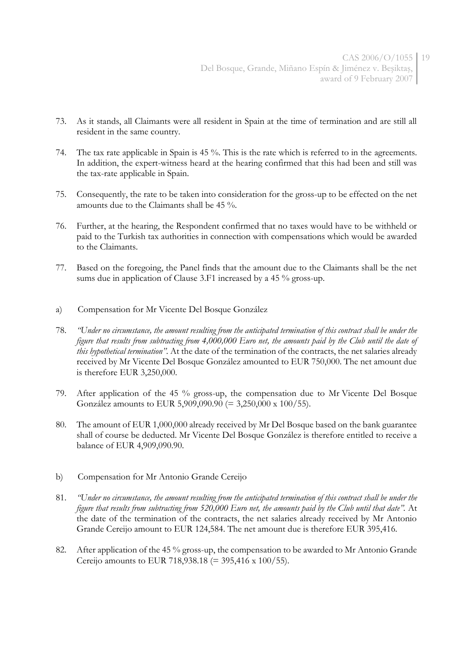- 73. As it stands, all Claimants were all resident in Spain at the time of termination and are still all resident in the same country.
- 74. The tax rate applicable in Spain is 45 %. This is the rate which is referred to in the agreements. In addition, the expert-witness heard at the hearing confirmed that this had been and still was the tax-rate applicable in Spain.
- 75. Consequently, the rate to be taken into consideration for the gross-up to be effected on the net amounts due to the Claimants shall be 45 %.
- 76. Further, at the hearing, the Respondent confirmed that no taxes would have to be withheld or paid to the Turkish tax authorities in connection with compensations which would be awarded to the Claimants.
- 77. Based on the foregoing, the Panel finds that the amount due to the Claimants shall be the net sums due in application of Clause 3.F1 increased by a 45 % gross-up.
- a) Compensation for Mr Vicente Del Bosque González
- 78. *"Under no circumstance, the amount resulting from the anticipated termination of this contract shall be under the figure that results from subtracting from 4,000,000 Euro net, the amounts paid by the Club until the date of this hypothetical termination".* At the date of the termination of the contracts, the net salaries already received by Mr Vicente Del Bosque González amounted to EUR 750,000. The net amount due is therefore EUR 3,250,000.
- 79. After application of the 45 % gross-up, the compensation due to Mr Vicente Del Bosque González amounts to EUR 5,909,090.90 (= 3,250,000 x 100/55).
- 80. The amount of EUR 1,000,000 already received by Mr Del Bosque based on the bank guarantee shall of course be deducted. Mr Vicente Del Bosque González is therefore entitled to receive a balance of EUR 4,909,090.90.
- b) Compensation for Mr Antonio Grande Cereijo
- 81. *"Under no circumstance, the amount resulting from the anticipated termination of this contract shall be under the figure that results from subtracting from 520,000 Euro net, the amounts paid by the Club until that date".* At the date of the termination of the contracts, the net salaries already received by Mr Antonio Grande Cereijo amount to EUR 124,584. The net amount due is therefore EUR 395,416.
- 82. After application of the 45 % gross-up, the compensation to be awarded to Mr Antonio Grande Cereijo amounts to EUR 718,938.18 (= 395,416 x 100/55).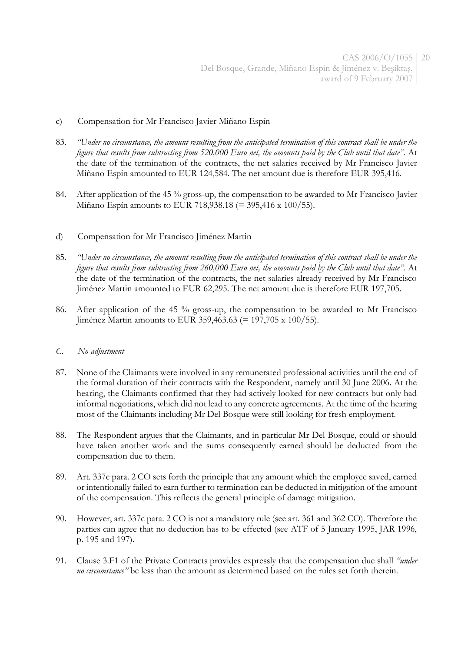- c) Compensation for Mr Francisco Javier Miñano Espín
- 83. *"Under no circumstance, the amount resulting from the anticipated termination of this contract shall be under the figure that results from subtracting from 520,000 Euro net, the amounts paid by the Club until that date".* At the date of the termination of the contracts, the net salaries received by Mr Francisco Javier Miñano Espín amounted to EUR 124,584. The net amount due is therefore EUR 395,416.
- 84. After application of the 45 % gross-up, the compensation to be awarded to Mr Francisco Javier Miñano Espín amounts to EUR 718,938.18 (= 395,416 x 100/55).
- d) Compensation for Mr Francisco Jiménez Martin
- 85. *"Under no circumstance, the amount resulting from the anticipated termination of this contract shall be under the figure that results from subtracting from 260,000 Euro net, the amounts paid by the Club until that date".* At the date of the termination of the contracts, the net salaries already received by Mr Francisco Jiménez Martin amounted to EUR 62,295. The net amount due is therefore EUR 197,705.
- 86. After application of the 45 % gross-up, the compensation to be awarded to Mr Francisco Jiménez Martin amounts to EUR 359,463.63 (= 197,705 x 100/55).

#### *C. No adjustment*

- 87. None of the Claimants were involved in any remunerated professional activities until the end of the formal duration of their contracts with the Respondent, namely until 30 June 2006. At the hearing, the Claimants confirmed that they had actively looked for new contracts but only had informal negotiations, which did not lead to any concrete agreements. At the time of the hearing most of the Claimants including Mr Del Bosque were still looking for fresh employment.
- 88. The Respondent argues that the Claimants, and in particular Mr Del Bosque, could or should have taken another work and the sums consequently earned should be deducted from the compensation due to them.
- 89. Art. 337c para. 2 CO sets forth the principle that any amount which the employee saved, earned or intentionally failed to earn further to termination can be deducted in mitigation of the amount of the compensation. This reflects the general principle of damage mitigation.
- 90. However, art. 337c para. 2 CO is not a mandatory rule (see art. 361 and 362 CO). Therefore the parties can agree that no deduction has to be effected (see ATF of 5 January 1995, JAR 1996, p. 195 and 197).
- 91. Clause 3.F1 of the Private Contracts provides expressly that the compensation due shall *"under no circumstance"* be less than the amount as determined based on the rules set forth therein.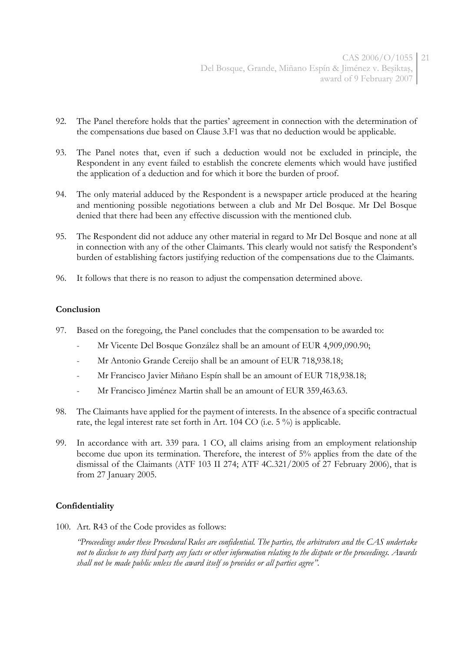- 92. The Panel therefore holds that the parties' agreement in connection with the determination of the compensations due based on Clause 3.F1 was that no deduction would be applicable.
- 93. The Panel notes that, even if such a deduction would not be excluded in principle, the Respondent in any event failed to establish the concrete elements which would have justified the application of a deduction and for which it bore the burden of proof.
- 94. The only material adduced by the Respondent is a newspaper article produced at the hearing and mentioning possible negotiations between a club and Mr Del Bosque. Mr Del Bosque denied that there had been any effective discussion with the mentioned club.
- 95. The Respondent did not adduce any other material in regard to Mr Del Bosque and none at all in connection with any of the other Claimants. This clearly would not satisfy the Respondent's burden of establishing factors justifying reduction of the compensations due to the Claimants.
- 96. It follows that there is no reason to adjust the compensation determined above.

### **Conclusion**

- 97. Based on the foregoing, the Panel concludes that the compensation to be awarded to:
	- Mr Vicente Del Bosque González shall be an amount of EUR 4,909,090.90;
	- Mr Antonio Grande Cereijo shall be an amount of EUR 718,938.18;
	- Mr Francisco Javier Miñano Espín shall be an amount of EUR 718,938.18;
	- Mr Francisco Jiménez Martin shall be an amount of EUR 359,463.63.
- 98. The Claimants have applied for the payment of interests. In the absence of a specific contractual rate, the legal interest rate set forth in Art. 104 CO (i.e. 5 %) is applicable.
- 99. In accordance with art. 339 para. 1 CO, all claims arising from an employment relationship become due upon its termination. Therefore, the interest of 5% applies from the date of the dismissal of the Claimants (ATF 103 II 274; ATF 4C.321/2005 of 27 February 2006), that is from 27 January 2005.

## **Confidentiality**

100. Art. R43 of the Code provides as follows:

*"Proceedings under these Procedural Rules are confidential. The parties, the arbitrators and the CAS undertake not to disclose to any third party any facts or other information relating to the dispute or the proceedings. Awards shall not be made public unless the award itself so provides or all parties agree".*